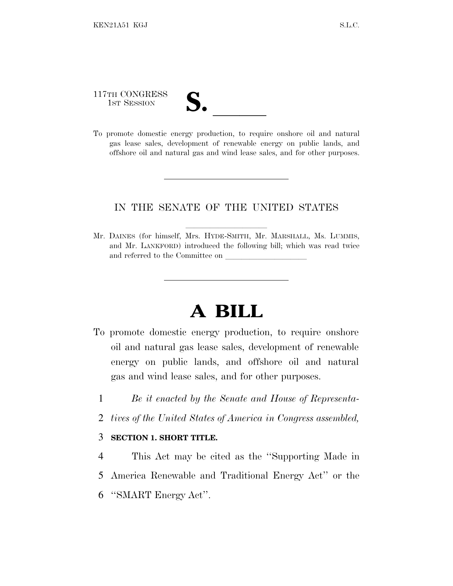# 117TH CONGRESS

117TH CONGRESS<br>
1ST SESSION<br>
To promote domestic energy production, to require onshore oil and natural gas lease sales, development of renewable energy on public lands, and offshore oil and natural gas and wind lease sales, and for other purposes.

### IN THE SENATE OF THE UNITED STATES

Mr. DAINES (for himself, Mrs. HYDE-SMITH, Mr. MARSHALL, Ms. LUMMIS, and Mr. LANKFORD) introduced the following bill; which was read twice and referred to the Committee on

## **A BILL**

- To promote domestic energy production, to require onshore oil and natural gas lease sales, development of renewable energy on public lands, and offshore oil and natural gas and wind lease sales, and for other purposes.
	- 1 *Be it enacted by the Senate and House of Representa-*
	- 2 *tives of the United States of America in Congress assembled,*

#### 3 **SECTION 1. SHORT TITLE.**

4 This Act may be cited as the ''Supporting Made in 5 America Renewable and Traditional Energy Act'' or the 6 ''SMART Energy Act''.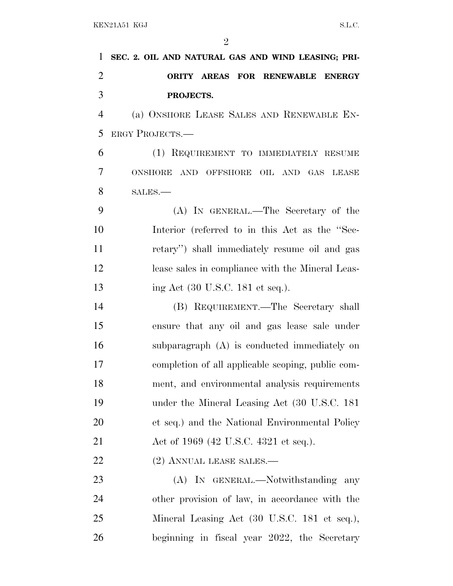| $\mathbf{1}$   | SEC. 2. OIL AND NATURAL GAS AND WIND LEASING; PRI- |
|----------------|----------------------------------------------------|
| $\overline{2}$ | ORITY AREAS FOR RENEWABLE ENERGY                   |
| 3              | PROJECTS.                                          |
| $\overline{4}$ | (a) ONSHORE LEASE SALES AND RENEWABLE EN-          |
| 5              | <b>ERGY PROJECTS.—</b>                             |
| 6              | (1) REQUIREMENT TO IMMEDIATELY RESUME              |
| 7              | ONSHORE AND OFFSHORE OIL AND GAS LEASE             |
| 8              | SALES.                                             |
| 9              | (A) IN GENERAL.—The Secretary of the               |
| 10             | Interior (referred to in this Act as the "Sec-     |
| 11             | retary") shall immediately resume oil and gas      |
| 12             | lease sales in compliance with the Mineral Leas-   |
| 13             | ing Act (30 U.S.C. 181 et seq.).                   |
| 14             | (B) REQUIREMENT.—The Secretary shall               |
| 15             | ensure that any oil and gas lease sale under       |
| 16             | subparagraph (A) is conducted immediately on       |
| 17             | completion of all applicable scoping, public com-  |
| 18             | ment, and environmental analysis requirements      |
| 19             | under the Mineral Leasing Act (30 U.S.C. 181)      |
| 20             | et seq.) and the National Environmental Policy     |
| 21             | Act of 1969 (42 U.S.C. 4321 et seq.).              |
| 22             | (2) ANNUAL LEASE SALES.—                           |
| 23             | (A) IN GENERAL.—Notwithstanding any                |
| 24             | other provision of law, in accordance with the     |
| 25             | Mineral Leasing Act (30 U.S.C. 181 et seq.),       |
| 26             | beginning in fiscal year 2022, the Secretary       |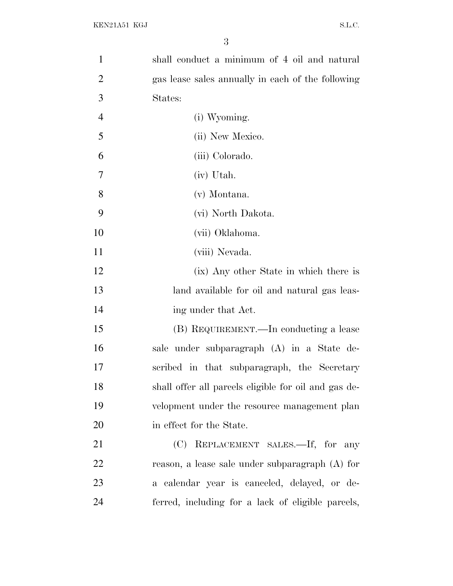| $\mathbf{1}$   | shall conduct a minimum of 4 oil and natural         |
|----------------|------------------------------------------------------|
| $\overline{2}$ | gas lease sales annually in each of the following    |
| 3              | States:                                              |
| $\overline{4}$ | (i) Wyoming.                                         |
| 5              | (ii) New Mexico.                                     |
| 6              | (iii) Colorado.                                      |
| 7              | (iv) Utah.                                           |
| 8              | (v) Montana.                                         |
| 9              | (vi) North Dakota.                                   |
| 10             | (vii) Oklahoma.                                      |
| 11             | (viii) Nevada.                                       |
| 12             | (ix) Any other State in which there is               |
| 13             | land available for oil and natural gas leas-         |
| 14             | ing under that Act.                                  |
| 15             | (B) REQUIREMENT.—In conducting a lease               |
| 16             | sale under subparagraph (A) in a State de-           |
| 17             | scribed in that subparagraph, the Secretary          |
| 18             | shall offer all parcels eligible for oil and gas de- |
| 19             | velopment under the resource management plan         |
| 20             | in effect for the State.                             |
| 21             | REPLACEMENT SALES.-If, for any<br>(C)                |
| 22             | reason, a lease sale under subparagraph (A) for      |
| 23             | a calendar year is canceled, delayed, or de-         |
| 24             | ferred, including for a lack of eligible parcels,    |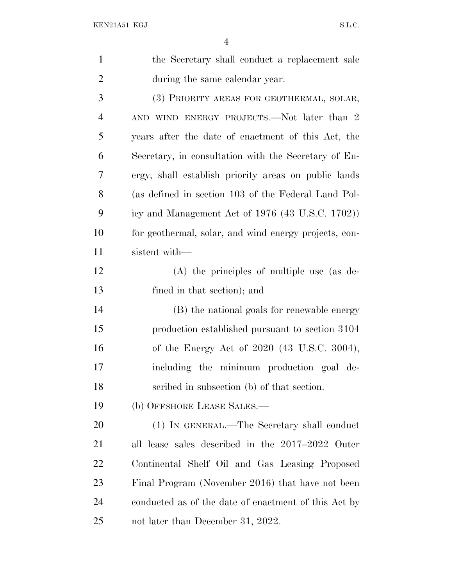| $\mathbf{1}$   | the Secretary shall conduct a replacement sale                 |
|----------------|----------------------------------------------------------------|
| $\overline{2}$ | during the same calendar year.                                 |
| 3              | (3) PRIORITY AREAS FOR GEOTHERMAL, SOLAR,                      |
| $\overline{4}$ | AND WIND ENERGY PROJECTS.—Not later than 2                     |
| 5              | years after the date of enactment of this Act, the             |
| 6              | Secretary, in consultation with the Secretary of En-           |
| 7              | ergy, shall establish priority areas on public lands           |
| 8              | (as defined in section 103 of the Federal Land Pol-            |
| 9              | icy and Management Act of $1976$ $(43 \text{ U.S.C. } 1702)$ ) |
| 10             | for geothermal, solar, and wind energy projects, con-          |
| 11             | sistent with—                                                  |
| 12             | $(A)$ the principles of multiple use (as de-                   |
| 13             | fined in that section); and                                    |
| 14             | (B) the national goals for renewable energy                    |
| 15             | production established pursuant to section 3104                |
| 16             | of the Energy Act of 2020 (43 U.S.C. 3004),                    |
| $17\,$         | including the minimum production goal de-                      |
| 18             | scribed in subsection (b) of that section.                     |
| 19             | (b) OFFSHORE LEASE SALES.—                                     |
| <b>20</b>      | (1) IN GENERAL.—The Secretary shall conduct                    |
| 21             | all lease sales described in the 2017–2022 Outer               |
| 22             | Continental Shelf Oil and Gas Leasing Proposed                 |
| 23             | Final Program (November 2016) that have not been               |
| 24             | conducted as of the date of enactment of this Act by           |
| 25             | not later than December 31, 2022.                              |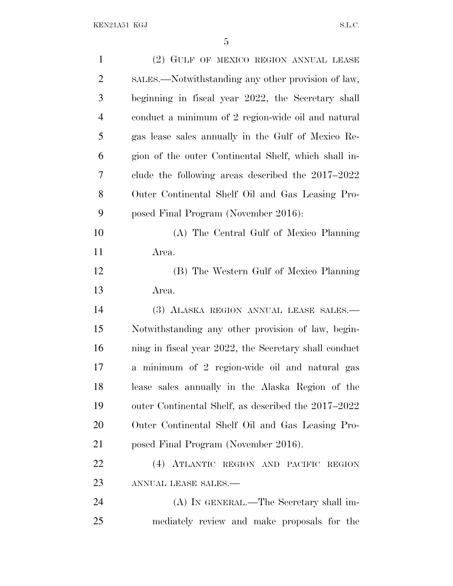| $\mathbf{1}$   | (2) GULF OF MEXICO REGION ANNUAL LEASE                |
|----------------|-------------------------------------------------------|
| $\overline{c}$ | SALES.—Notwithstanding any other provision of law,    |
| 3              | beginning in fiscal year 2022, the Secretary shall    |
| 4              | conduct a minimum of 2 region-wide oil and natural    |
| 5              | gas lease sales annually in the Gulf of Mexico Re-    |
| 6              | gion of the outer Continental Shelf, which shall in-  |
| 7              | clude the following areas described the $2017-2022$   |
| 8              | Outer Continental Shelf Oil and Gas Leasing Pro-      |
| 9              | posed Final Program (November 2016):                  |
| 10             | (A) The Central Gulf of Mexico Planning               |
| 11             | Area.                                                 |
| 12             | (B) The Western Gulf of Mexico Planning               |
| 13             | Area.                                                 |
| 14             | (3) ALASKA REGION ANNUAL LEASE SALES.—                |
| 15             | Notwithstanding any other provision of law, begin-    |
| 16             | ning in fiscal year 2022, the Secretary shall conduct |
| 17             | minimum of 2 region-wide oil and natural gas<br>a     |
| 18             | lease sales annually in the Alaska Region of the      |
| 19             |                                                       |
|                | outer Continental Shelf, as described the 2017–2022   |
| <b>20</b>      | Outer Continental Shelf Oil and Gas Leasing Pro-      |
| 21             | posed Final Program (November 2016).                  |
| 22             | (4) ATLANTIC REGION AND PACIFIC REGION                |
| 23             | ANNUAL LEASE SALES.-                                  |
| 24             | (A) IN GENERAL.—The Secretary shall im-               |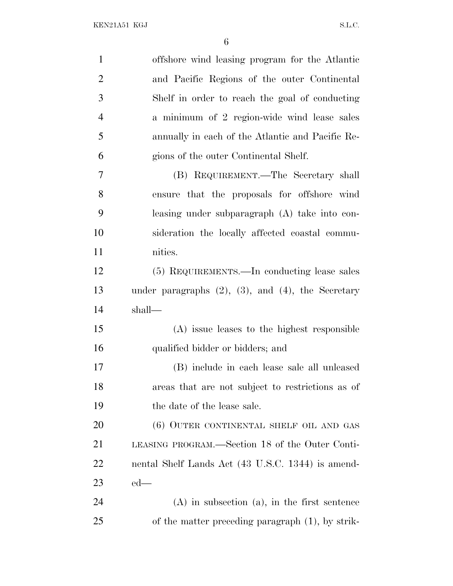| $\mathbf{1}$   | offshore wind leasing program for the Atlantic             |
|----------------|------------------------------------------------------------|
| $\overline{2}$ | and Pacific Regions of the outer Continental               |
| 3              | Shelf in order to reach the goal of conducting             |
| $\overline{4}$ | a minimum of 2 region-wide wind lease sales                |
| 5              | annually in each of the Atlantic and Pacific Re-           |
| 6              | gions of the outer Continental Shelf.                      |
| 7              | (B) REQUIREMENT.—The Secretary shall                       |
| $8\,$          | ensure that the proposals for offshore wind                |
| 9              | leasing under subparagraph (A) take into con-              |
| 10             | sideration the locally affected coastal commu-             |
| 11             | nities.                                                    |
| 12             | (5) REQUIREMENTS.—In conducting lease sales                |
| 13             | under paragraphs $(2)$ , $(3)$ , and $(4)$ , the Secretary |
| 14             | shall—                                                     |
| 15             | (A) issue leases to the highest responsible                |
| 16             | qualified bidder or bidders; and                           |
| 17             | (B) include in each lease sale all unleased                |
| 18             | areas that are not subject to restrictions as of           |
| 19             | the date of the lease sale.                                |
| 20             | (6) OUTER CONTINENTAL SHELF OIL AND GAS                    |
| 21             | LEASING PROGRAM.—Section 18 of the Outer Conti-            |
| 22             | nental Shelf Lands Act (43 U.S.C. 1344) is amend-          |
| 23             | $ed$ —                                                     |
| 24             | $(A)$ in subsection $(a)$ , in the first sentence          |
| 25             | of the matter preceding paragraph $(1)$ , by strik-        |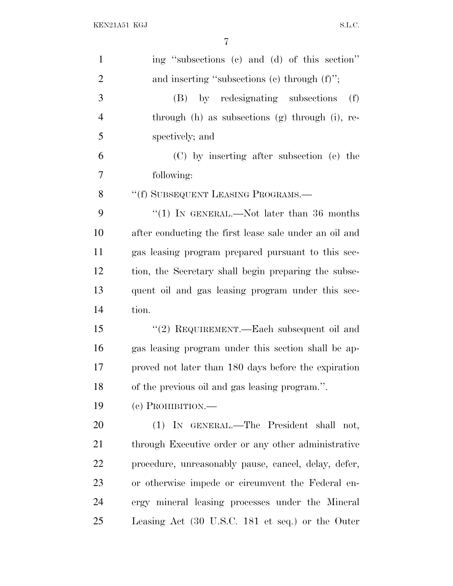| $\mathbf{1}$   | ing "subsections (c) and (d) of this section"          |
|----------------|--------------------------------------------------------|
| $\overline{2}$ | and inserting "subsections $(c)$ through $(f)$ ";      |
| 3              | (B) by redesignating subsections<br>(f)                |
| $\overline{4}$ | through (h) as subsections (g) through (i), re-        |
| 5              | spectively; and                                        |
| 6              | (C) by inserting after subsection (e) the              |
| 7              | following:                                             |
| 8              | "(f) SUBSEQUENT LEASING PROGRAMS.-                     |
| 9              | "(1) IN GENERAL.—Not later than $36$ months            |
| 10             | after conducting the first lease sale under an oil and |
| 11             | gas leasing program prepared pursuant to this sec-     |
| 12             | tion, the Secretary shall begin preparing the subse-   |
| 13             | quent oil and gas leasing program under this sec-      |
| 14             | tion.                                                  |
| 15             | "(2) REQUIREMENT.—Each subsequent oil and              |
| 16             | gas leasing program under this section shall be ap-    |
| 17             | proved not later than 180 days before the expiration   |
| 18             | of the previous oil and gas leasing program.".         |
| 19             | $(e)$ PROHIBITION.—                                    |
| 20             | (1) IN GENERAL.—The President shall not,               |
| 21             | through Executive order or any other administrative    |
| 22             | procedure, unreasonably pause, cancel, delay, defer,   |
| 23             | or otherwise impede or circumvent the Federal en-      |
| 24             | ergy mineral leasing processes under the Mineral       |
| 25             | Leasing Act (30 U.S.C. 181 et seq.) or the Outer       |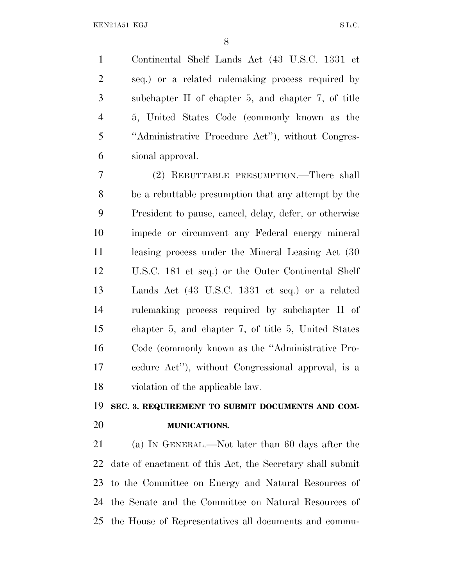Continental Shelf Lands Act (43 U.S.C. 1331 et seq.) or a related rulemaking process required by subchapter II of chapter 5, and chapter 7, of title 5, United States Code (commonly known as the ''Administrative Procedure Act''), without Congres-sional approval.

 (2) REBUTTABLE PRESUMPTION.—There shall be a rebuttable presumption that any attempt by the President to pause, cancel, delay, defer, or otherwise impede or circumvent any Federal energy mineral leasing process under the Mineral Leasing Act (30 U.S.C. 181 et seq.) or the Outer Continental Shelf Lands Act (43 U.S.C. 1331 et seq.) or a related rulemaking process required by subchapter II of chapter 5, and chapter 7, of title 5, United States Code (commonly known as the ''Administrative Pro- cedure Act''), without Congressional approval, is a violation of the applicable law.

### **SEC. 3. REQUIREMENT TO SUBMIT DOCUMENTS AND COM-MUNICATIONS.**

 (a) I<sup>N</sup> GENERAL.—Not later than 60 days after the date of enactment of this Act, the Secretary shall submit to the Committee on Energy and Natural Resources of the Senate and the Committee on Natural Resources of the House of Representatives all documents and commu